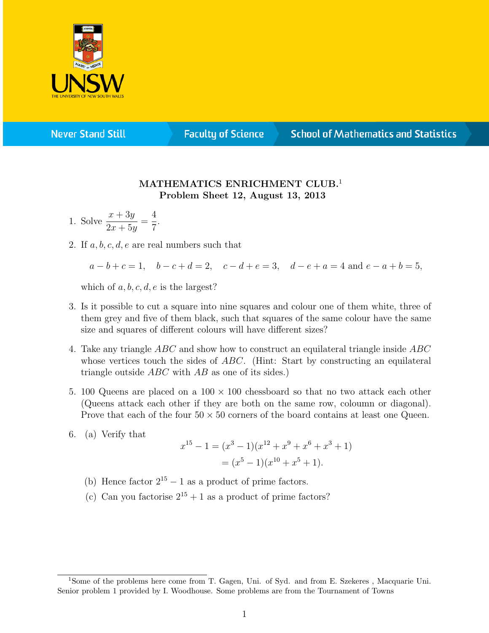

**Never Stand Still** 

**Faculty of Science** 

## **School of Mathematics and Statistics**

## MATHEMATICS ENRICHMENT CLUB.<sup>1</sup> Problem Sheet 12, August 13, 2013

- 1. Solve  $\frac{x + 3y}{2}$  $2x + 5y$ = 4 7 .
- 2. If  $a, b, c, d, e$  are real numbers such that

 $a - b + c = 1$ ,  $b - c + d = 2$ ,  $c - d + e = 3$ ,  $d - e + a = 4$  and  $e - a + b = 5$ ,

which of  $a, b, c, d, e$  is the largest?

- 3. Is it possible to cut a square into nine squares and colour one of them white, three of them grey and five of them black, such that squares of the same colour have the same size and squares of different colours will have different sizes?
- 4. Take any triangle ABC and show how to construct an equilateral triangle inside ABC whose vertices touch the sides of ABC. (Hint: Start by constructing an equilateral triangle outside  $ABC$  with  $AB$  as one of its sides.)
- 5. 100 Queens are placed on a  $100 \times 100$  chessboard so that no two attack each other (Queens attack each other if they are both on the same row, coloumn or diagonal). Prove that each of the four  $50 \times 50$  corners of the board contains at least one Queen.
- 6. (a) Verify that

$$
x^{15} - 1 = (x^3 - 1)(x^{12} + x^9 + x^6 + x^3 + 1)
$$
  
=  $(x^5 - 1)(x^{10} + x^5 + 1)$ .

- (b) Hence factor  $2^{15} 1$  as a product of prime factors.
- (c) Can you factorise  $2^{15} + 1$  as a product of prime factors?

<sup>1</sup>Some of the problems here come from T. Gagen, Uni. of Syd. and from E. Szekeres , Macquarie Uni. Senior problem 1 provided by I. Woodhouse. Some problems are from the Tournament of Towns